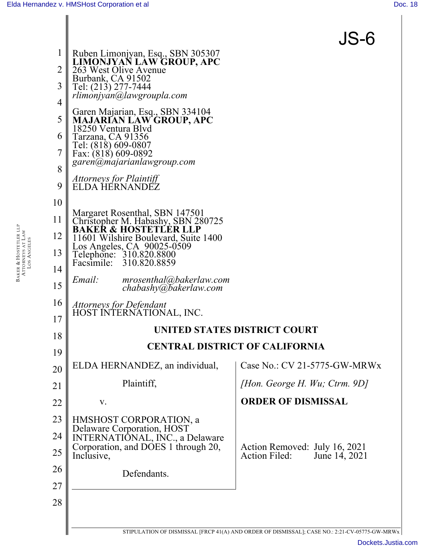

|                |                                                                                               | JS-6                                                                   |
|----------------|-----------------------------------------------------------------------------------------------|------------------------------------------------------------------------|
| $\mathbf 1$    | Ruben Limonjyan, Esq., SBN 305307                                                             |                                                                        |
| $\overline{2}$ | LIMONJYAN LAW GROUP, APC<br>263 West Olive Avenue                                             |                                                                        |
| 3              | Burbank, CA 91502<br>Tel: (213) 277-7444                                                      |                                                                        |
| $\overline{4}$ | rlimonjyan@lawgroupla.com                                                                     |                                                                        |
| 5              | Garen Majarian, Esq., SBN 334104<br><b>MAJARIAN LAW GROUP, APC</b>                            |                                                                        |
| 6              | 18250 Ventura Blvd<br>Tarzana, CA 91356                                                       |                                                                        |
| 7              | Tel: (818) 609-0807<br>Fax: (818) 609-0892                                                    |                                                                        |
| 8              | garen@majarianlawgroup.com                                                                    |                                                                        |
| 9              | Attorneys for Plaintiff<br>ELDA HËRNANDËZ                                                     |                                                                        |
| 10             |                                                                                               |                                                                        |
| 11             | Margaret Rosenthal, SBN 147501<br>Christopher M. Habashy, SBN 280725                          |                                                                        |
| 12             | <b>BAKER &amp; HOSTETLER LLP</b><br>11601 Wilshire Boulevard, Suite 1400                      |                                                                        |
| 13             | Los Angeles, CA 90025-0509<br>Telephone: 310.820.8800<br>310.820.8859<br>Facsimile:           |                                                                        |
| 14             | mrosenthal@bakerlaw.com<br>Email:                                                             |                                                                        |
| 15             | chabashy@bakerlaw.com                                                                         |                                                                        |
| 16<br>17       | <b>Attorneys for Defendant</b><br>HOST INTERNATIONAL, INC.                                    |                                                                        |
| 18             |                                                                                               | UNITED STATES DISTRICT COURT                                           |
| 19             | <b>CENTRAL DISTRICT OF CALIFORNIA</b>                                                         |                                                                        |
| 20             | ELDA HERNANDEZ, an individual,                                                                | Case No.: CV 21-5775-GW-MRWx                                           |
| 21             | Plaintiff,                                                                                    | [Hon. George H. Wu; Ctrm. $9D$ ]                                       |
| 22             | V.                                                                                            | <b>ORDER OF DISMISSAL</b>                                              |
| 23             | HMSHOST CORPORATION, a                                                                        |                                                                        |
| 24             | Delaware Corporation, HOST<br>INTERNATIÔNAL, INC., a Delaware                                 |                                                                        |
| 25             | Corporation, and DOES 1 through 20,<br>Inclusive,                                             | Action Removed: July 16, 2021<br><b>Action Filed:</b><br>June 14, 2021 |
| 26             | Defendants.                                                                                   |                                                                        |
| 27             |                                                                                               |                                                                        |
| 28             |                                                                                               |                                                                        |
|                |                                                                                               |                                                                        |
|                | STIPULATION OF DISMISSAL [FRCP 41(A) AND ORDER OF DISMISSAL]; CASE NO.: 2:21-CV-05775-GW-MRWx |                                                                        |

BAKER & LOS HOSTETLER LLP ATTORNEYS AT LAW ANGELES